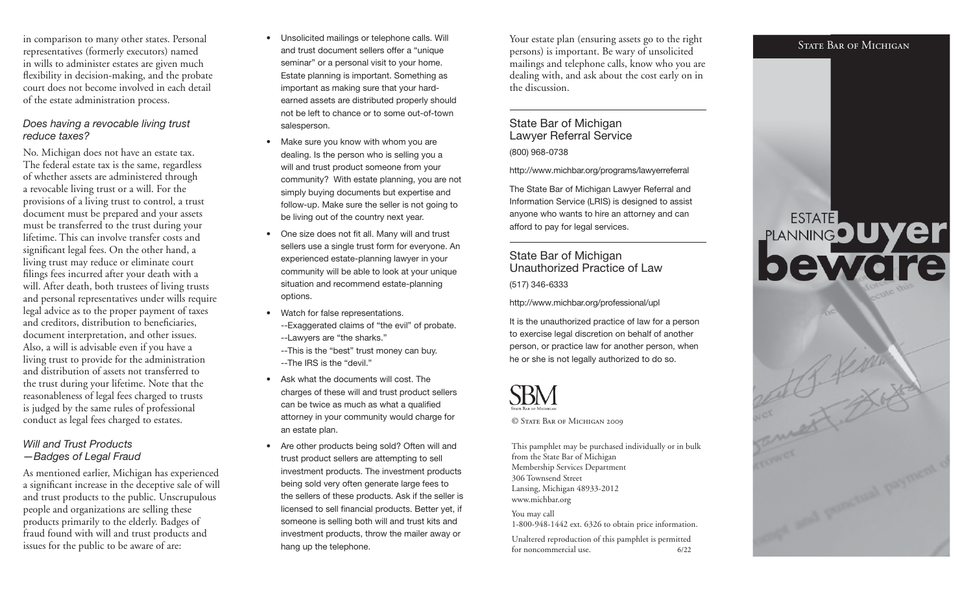in comparison to many other states. Personal representatives (formerly executors) named in wills to administer estates are given much flexibility in decision-making, and the probate court does not become involved in each detail of the estate administration process.

#### Does having a revocable living trust reduce taxes?

No. Michigan does not have an estate tax. The federal estate tax is the same, regardless of whether assets are administered through a revocable living trust or a will. For the provisions of a living trust to control, a trust document must be prepared and your assets must be transferred to the trust during your lifetime. This can involve transfer costs and significant legal fees. On the other hand, a living trust may reduce or eliminate court filings fees incurred after your death with a will. After death, both trustees of living trusts and personal representatives under wills require legal advice as to the proper payment of taxes and creditors, distribution to beneficiaries, document interpretation, and other issues. Also, a will is advisable even if you have a living trust to provide for the administration and distribution of assets not transferred to the trust during your lifetime. Note that the reasonableness of legal fees charged to trusts is judged by the same rules of professional conduct as legal fees charged to estates.

#### Will and Trust Products—Badges of Legal Fraud

As mentioned earlier, Michigan has experienced a significant increase in the deceptive sale of will and trust products to the public. Unscrupulous people and organizations are selling these products primarily to the elderly. Badges of fraud found with will and trust products and issues for the public to be aware of are:

- • Unsolicited mailings or telephone calls. Will and trust document sellers offer a "unique seminar" or a personal visit to your home. Estate planning is important. Something as important as making sure that your hardearned assets are distributed properly should not be left to chance or to some out-of-townsalesperson.
- • Make sure you know with whom you are dealing. Is the person who is selling you a will and trust product someone from your community? With estate planning, you are not simply buying documents but expertise and follow-up. Make sure the seller is not going to be living out of the country next year.
- One size does not fit all. Many will and trust sellers use a single trust form for everyone. An experienced estate-planning lawyer in your community will be able to look at your unique situation and recommend estate-planning options.
- Watch for false representations. --Exaggerated claims of "the evil" of probate. --Lawyers are "the sharks."
- --This is the "best" trust money can buy. --The IRS is the "devil."
- • Ask what the documents will cost. Thecharges of these will and trust product sellers can be twice as much as what a qualified attorney in your community would charge for an estate plan.
- Are other products being sold? Often will and trust product sellers are attempting to sell investment products. The investment products being sold very often generate large fees to the sellers of these products. Ask if the seller is licensed to sell financial products. Better yet, if someone is selling both will and trust kits and investment products, throw the mailer away or hang up the telephone.

Your estate plan (ensuring assets go to the right persons) is important. Be wary of unsolicited mailings and telephone calls, know who you are dealing with, and ask about the cost early on in the discussion.

## State Bar of Michigan Lawyer Referral Service

(800) 968-0738

http://www.michbar.org/programs/lawyerreferral

The State Bar of Michigan Lawyer Referral and Information Service (LRIS) is designed to assist anyone who wants to hire an attorney and can afford to pay for legal services.

State Bar of Michigan Unauthorized Practice of Law(517) 346-6333

http://www.michbar.org/professional/upl

It is the unauthorized practice of law for a person to exercise legal discretion on behalf of another person, or practice law for another person, when he or she is not legally authorized to do so.



© State Bar of Michigan 2009

This pamphlet may be purchased individually or in bulk from the State Bar of Michigan Membership Services Department306 Townsend Street Lansing, Michigan 48933-2012 www.michbar.orgYou may call

 1-800-948-1442 ext. 6326 to obtain price information. Unaltered reproduction of this pamphlet is permitted

for noncommercial use. 6/22

#### STATE BAR OF MICHIGAN

# **PLANNINGOUYEr**